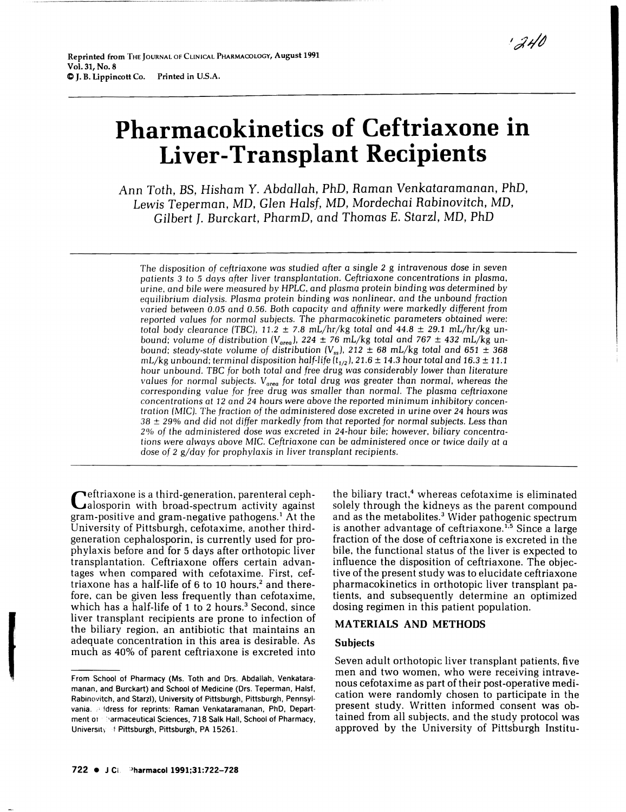# **Pharmacokinetics of Ceftriaxone in Liver-Transplant Recipients**

Ann Toth. *BS.* Hisharn Y. *Abdallah.* PhD. Raman Venkataramanan. PhD. *Lewis* Teperrnan, MD. *Glen Hal sf.* MD. Mordechai *Rabinovitch.* MD. Gilbert J. Burckart. PharmD. and Thomas E. *Starzl,* MD. PhD

*The* disposition *of ceftriaxone* was *studied after* a *single* 2 g *intravenous dose* in seven patients 3 to 5 *days after liver transplantation.* Ceftriaxone concentrations in *plasma,*  urine, *and bile* were measured by HPLC, *and plasma* protein binding *was* determined by equilibrium *dialysis. Plasma* protein binding *was nonlinear,* and *the* unbound *fraction*  varied *between 0.05* and *0.56.* Both capacity *and* ajfJnity *were markedly* different from reported *values* for normal subjects. The pharmacokinetic parameters obtained were: *total* body clearance *(TBC),* 11.2 ± 7.8 mL/hr/kg *total* and 44.8 ± 29.1 mL/hr/kg unbound; volume of distribution  $(V_{area})$ , 224  $\pm$  76 mL/kg total and 767  $\pm$  432 mL/kg unbound; steady-state volume of distribution ( $V_{ss}$ ), 212  $\pm$  68 mL/kg total and 651  $\pm$  368 mL/kg unbound; *terminal disposition half-life* ( $t_{1/2}$ ), 21.6  $\pm$  14.3 hour *total and* 16.3  $\pm$  11.1 *hour* unbound. *TBC* for *both total and* free drug *was considerably lower* than *literature values* for *normal subjects.* Varea for *total* drug was *greater than normal,* whereas the corresponding *value for* free drug was *smaller than normal. The plasma* ceftriaxone concentrations at 12 *and* 24 hours were above the *reported* minimum inhibitory concentration (MIC). *The* fraction *of the* administered dose *excreted* in urine over 24 hours was 38 ± 29% and did not *differ markedly* from *that* reported *for normal subjects.* Less *than*  2')1, of *the* administered dose was excreted in 24-hour *bile;* however, biliary concentrations were *always above* MIC. Ceftriaxone *can* be administered once or *twice daily* at a *dose* of 2 g/day for *prophylaxis* in *liver transplant* recipients.

Ceftriaxone is a third-generation, parenteral ceph-alosporin with broad-spectrum activity against gram-positive and gram-negative pathogens.<sup>1</sup> At the University of Pittsburgh, cefotaxime, another thirdgeneration cephalosporin, is currently used for prophylaxis before and for 5 days after orthotopic liver transplantation. Ceftriaxone offers certain advantages when compared with cefotaxime. First, ceftriaxone has a half-life of  $6$  to 10 hours,<sup>2</sup> and therefore, can be given less frequently than cefotaxime, which has a half-life of 1 to 2 hours.<sup>3</sup> Second, since liver transplant recipients are prone to infection of the biliary region, an antibiotic that maintains an adequate concentration in this area is desirable. As much as 40% of parent ceftriaxone is excreted into

From School of Pharmacy (Ms. Toth and Drs. Abdallah, Venkataramanan, and Burckart) and School of Medicine (Drs. Teperman, Halsf, Rabinovitch, and Starzl), University of Pittsburgh, Pittsburgh, Pennsylvania. address for reprints: Raman Venkataramanan, PhD, Department of Sarmaceutical Sciences, 718 Salk Hall, School of Pharmacy, University of Pittsburgh, Pittsburgh, PA 15261.

the biliary tract,<sup>4</sup> whereas cefotaxime is eliminated solely through the kidneys as the parent compound and as the metabolites.<sup>3</sup> Wider pathogenic spectrum is another advantage of ceftriaxone.<sup>1,5</sup> Since a large fraction of the dose of ceftriaxone is excreted in the bile, the functional status of the liver is expected to influence the disposition of ceftriaxone. The objective of the present study was to elucidate ceftriaxone pharmacokinetics in orthotopic liver transplant patients, and subsequently determine an optimized dosing regimen in this patient population.

## MA TERIALS AND METHODS

## Subjects

Seven adult orthotopic liver transplant patients, five men and two women, who were receiving intravenous cefotaxime as part of their post-operative medication were randomly chosen to participate in the present study. Written informed consent was obtained from all subjects. and the study protocol was approved by the University of Pittsburgh Institu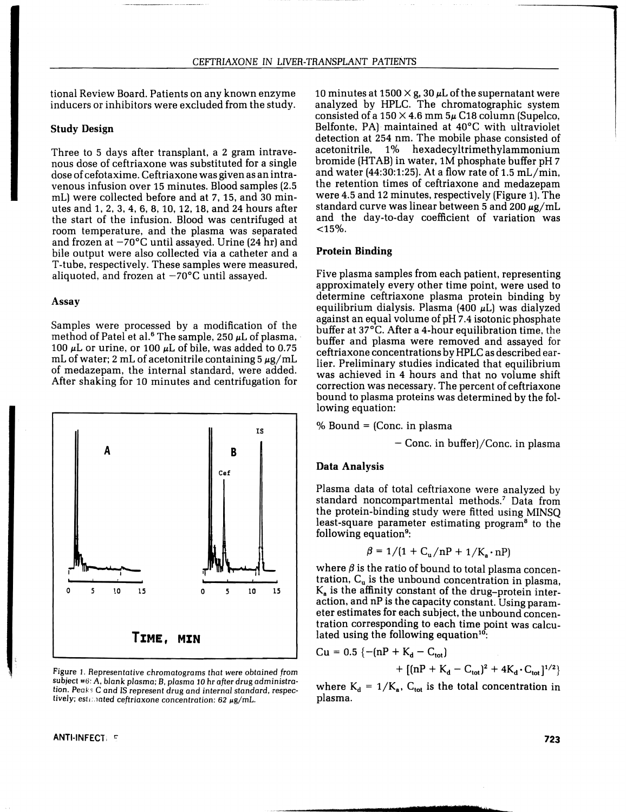tional Review Board. Patients on any known enzyme inducers or inhibitors were excluded from the study.

## Study Design

Three to 5 days after transplant, a 2 gram intravenous dose of ceftriaxone was substituted for a single dose of cefotaxime. Ceftriaxone was given as an intravenous infusion over 15 minutes. Blood samples (2.5 mL) were collected before and at 7, 15, and 30 minutes and 1, 2, 3, 4, 6, 8, 10, 12, 18, and 24 hours after the start of the infusion. Blood was centrifuged at room temperature, and the plasma was separated and frozen at  $-70^{\circ}$ C until assayed. Urine (24 hr) and bile output were also collected via a catheter and a T-tube, respectively. These samples were measured, aliquoted, and frozen at  $-70^{\circ}$ C until assayed.

#### Assay

Samples were processed by a modification of the method of Patel et al.<sup>6</sup> The sample, 250  $\mu$ L of plasma, 100  $\mu$ L or urine, or 100  $\mu$ L of bile, was added to 0.75 mL of water; 2 mL of acetonitrile containing  $5 \mu g/mL$ of medazepam, the internal standard, were added. After shaking for 10 minutes and centrifugation for



Figure I. Representative chromatograms that were obtained from subject #6: A, blank plasma; B, plasma 10 hr after drug administration. Peaks C and IS represent drug and internal standard, respectively; estimated ceftriaxone concentration: 62  $\mu$ g/mL.

ANTI-INFECT: F

10 minutes at 1500  $\times$  g, 30  $\mu$ L of the supernatant were analyzed by HPLC. The chromatographic system consisted of a  $150 \times 4.6$  mm  $5\mu$  C18 column (Supelco, Belfonte, PAl maintained at 40°C with ultraviolet detection at 254 nm. The mobile phase consisted of acetonitrile, 1% hexadecyltrimethylammonium bromide (HT AB) in water, 1M phosphate buffer pH 7 and water (44:30:1:25). At a flow rate of 1.5 mL/min, the retention times of ceftriaxone and medazepam were 4.5 and 12 minutes, respectively (Figure 1). The standard curve was linear between 5 and 200  $\mu$ g/mL and the day-to-day coefficient of variation was  $<$ 15%.

## Protein Binding

Five plasma samples from each patient, representing approximately every other time point, were used to determine ceftriaxone plasma protein binding by equilibrium dialysis. Plasma (400  $\mu$ L) was dialyzed against an equal volume of pH 7.4 isotonic phosphate buffer at 37°C. After a 4-hour equilibration time, the buffer and plasma were removed and assayed for ceftriaxone concentrations by HPLC as described earlier. Preliminary studies indicated that equilibrium was achieved in 4 hours and that no volume shift correction was necessary. The percent of ceftriaxone bound to plasma proteins was determined by the following equation:

% Bound = (Conc. in plasma

 $-$  Conc. in buffer)/Conc. in plasma

#### Data Analysis

Plasma data of total ceftriaxone were analyzed by standard noncompartmental methods.<sup>7</sup> Data from the protein-binding study were fitted using MINSQ least-square parameter estimating program<sup>8</sup> to the following equation<sup>9</sup>:

$$
\beta = 1/(1 + C_u/nP + 1/K_a \cdot nP)
$$

where  $\beta$  is the ratio of bound to total plasma concentration,  $C_u$  is the unbound concentration in plasma,  $K_a$  is the affinity constant of the drug-protein interaction, and nP is the capacity constant. Using parameter estimates for each subject, the unbound concentration corresponding to each time point was calculated using the following equation $10$ :

$$
Cu = 0.5 \{ -(nP + K_d - C_{tot}) + [(nP + K_d - C_{tot})^2 + 4K_d \cdot C_{tot}]^{1/2} \}
$$

where  $K_d = 1/K_a$ ,  $C_{tot}$  is the total concentration in plasma.

'9'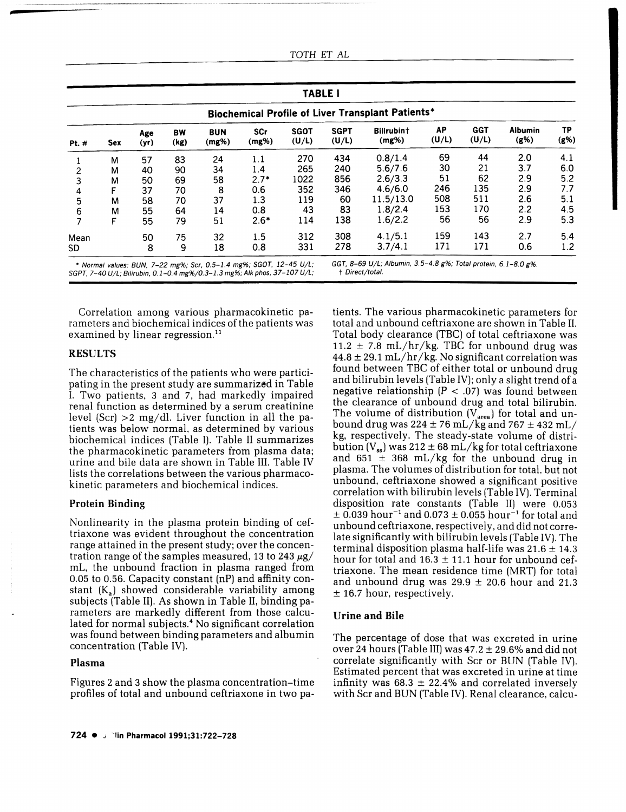| TOTH ET |  | AL. |
|---------|--|-----|
|---------|--|-----|

| <b>TABLE I</b>                                    |            |             |            |                        |              |                      |                      |                     |             |                     |                        |            |
|---------------------------------------------------|------------|-------------|------------|------------------------|--------------|----------------------|----------------------|---------------------|-------------|---------------------|------------------------|------------|
| Biochemical Profile of Liver Transplant Patients* |            |             |            |                        |              |                      |                      |                     |             |                     |                        |            |
| Pt. #                                             | <b>Sex</b> | Age<br>(yr) | BW<br>(kg) | <b>BUN</b><br>$(mg\%)$ | SCr<br>(mg%) | <b>SGOT</b><br>(U/L) | <b>SGPT</b><br>(U/L) | Bilirubin+<br>(mg%) | AP<br>(U/L) | <b>GGT</b><br>(U/L) | <b>Albumin</b><br>(g%) | TP<br>(8%) |
|                                                   | М          | 57          | 83         | 24                     | 1.1          | 270                  | 434                  | 0.8/1.4             | 69          | 44                  | 2.0                    | 4.1        |
| $\overline{c}$                                    | м          | 40          | 90         | 34                     | 1.4          | 265                  | 240                  | 5.6/7.6             | 30          | 21                  | 3.7                    | 6.0        |
|                                                   | м          | 50          | 69         | 58                     | $2.7*$       | 1022                 | 856                  | 2.6/3.3             | 51          | 62                  | 2.9                    | 5.2        |
| 4                                                 | F          | 37          | 70         | 8                      | 0.6          | 352                  | 346                  | 4.6/6.0             | 246         | 135                 | 2.9                    | 7.7        |
| 5                                                 | м          | 58          | 70         | 37                     | 1.3          | 119                  | 60                   | 11.5/13.0           | 508         | 511                 | 2.6                    | 5.1        |
| 6                                                 | М          | 55          | 64         | 14                     | 0.8          | 43                   | 83                   | 1.8/2.4             | 153         | 170                 | 2.2                    | 4.5        |
|                                                   | F          | 55          | 79         | 51                     | $2.6*$       | 114                  | 138                  | 1.6/2.2             | 56          | 56                  | 2.9                    | 5.3        |
| Mean                                              |            | 50          | 75         | 32                     | 1.5          | 312                  | 308                  | 4.1/5.1             | 159         | 143                 | 2.7                    | 5.4        |
| SD.                                               |            | 8           | 9          | 18                     | 0.8          | 331                  | 278                  | 3.7/4.1             | 171         | 171                 | 0.6                    | 1.2        |

Correlation among various pharmacokinetic parameters and biochemical indices of the patients was examined by linear regression.<sup>11</sup>

#### RESULTS

**-**

The characteristics of the patients who were participating in the present study are summarized in Table I. Two patients. 3 and 7. had markedly impaired renal function as determined by a serum creatinine level (Scr)  $>2$  mg/dl. Liver function in all the patients was below normal. as determined by various biochemical indices (Table I). Table II summarizes the pharmacokinetic parameters from plasma data; urine and bile data are shown in Table III. Table IV lists the correlations between the various pharmacokinetic parameters and biochemical indices.

#### Protein Binding

Nonlinearity in the plasma protein binding of ceftriaxone was evident throughout the concentration range attained in the present study: over the concentration range of the samples measured, 13 to 243  $\mu$ g/ mL. the unbound fraction in plasma ranged from 0.05 to 0.56. Capacity constant (nP) and affinity constant  $(K<sub>a</sub>)$  showed considerable variability among subjects (Table II). As shown in Table II. binding parameters are markedly different from those calculated for normal subjects.<sup>4</sup> No significant correlation was found between binding parameters and albumin concentration (Table IV).

#### Plasma

Figures 2 and 3 show the plasma concentration-time profiles of total and unbound ceftriaxone in two patotal and unbound ceftriaxone are shown in Table II. Total body clearance (TBC) of total ceftriaxone was 11.2  $\pm$  7.8 mL/hr/kg. TBC for unbound drug was  $44.8 \pm 29.1$  mL/hr/kg. No significant correlation was found between TBC of either total or unbound drug and bilirubin levels (Table IV): only a slight trend of a negative relationship  $(P < .07)$  was found between the clearance of unbound drug and total bilirubin. The volume of distribution  $(V_{area})$  for total and unbound drug was  $224 \pm 76$  mL/kg and  $767 \pm 432$  mL/ kg. respectively. The steady-state volume of distribution  $(V_{ss})$  was 212  $\pm$  68 mL/kg for total ceftriaxone and 651  $\pm$  368 mL/kg for the unbound drug in plasma. The volumes of distribution for total. but not unbound. ceftriaxone showed a significant positive correlation with bilirubin levels (Table IV). Terminal disposition rate constants (Table II) were 0.053  $\pm$  0.039 hour<sup>-1</sup> and 0.073  $\pm$  0.055 hour<sup>-1</sup> for total and unbound ceftriaxone. respectively, and did not correlate significantly with bilirubin levels (Table IV). The terminal disposition plasma half-life was  $21.6 \pm 14.3$ hour for total and  $16.3 \pm 11.1$  hour for unbound ceftriaxone. The mean residence time (MRT) for total and unbound drug was  $29.9 \pm 20.6$  hour and 21.3  $± 16.7$  hour, respectively.

tients. The various pharmacokinetic parameters for

#### Urine and Bile

The percentage of dose that was excreted in urine over 24 hours (Table III) was  $47.2 \pm 29.6\%$  and did not correlate significantly with Scr or BUN (Table IV). Estimated percent that was excreted in urine at time infinity was  $68.3 \pm 22.4\%$  and correlated inversely with Scr and BUN (Table IV). Renal clearance, calcu-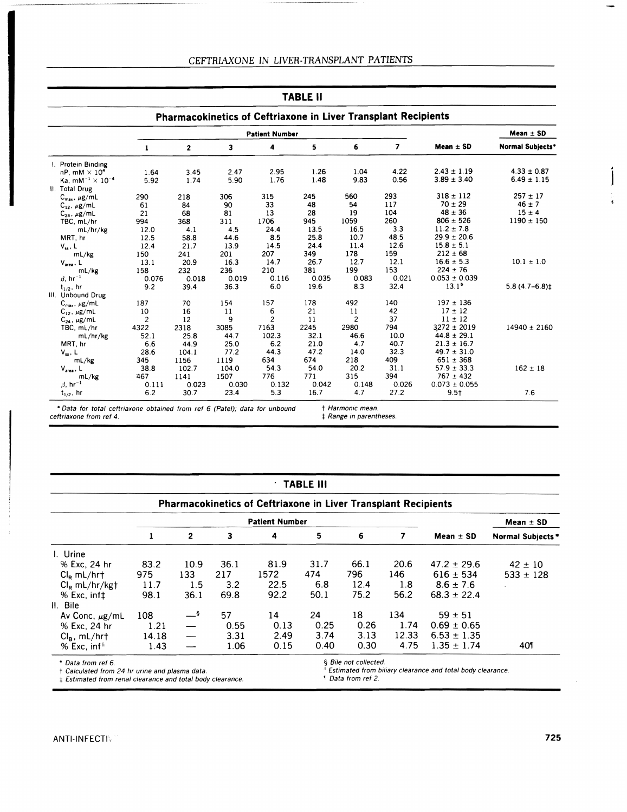| TABLE II                                                       |                |                |       |                       |       |                |                |                   |                         |  |  |
|----------------------------------------------------------------|----------------|----------------|-------|-----------------------|-------|----------------|----------------|-------------------|-------------------------|--|--|
| Pharmacokinetics of Ceftriaxone in Liver Transplant Recipients |                |                |       |                       |       |                |                |                   |                         |  |  |
|                                                                |                |                |       | <b>Patient Number</b> |       |                |                |                   | Mean $\pm$ SD           |  |  |
|                                                                | 1              | $\overline{2}$ | 3     | 4                     | 5     | 6              | $\overline{7}$ | Mean $\pm$ SD     | <b>Normal Subiects*</b> |  |  |
| I. Protein Binding                                             |                |                |       |                       |       |                |                |                   |                         |  |  |
| nP. mM $\times$ 10 <sup>4</sup>                                | 1.64           | 3.45           | 2.47  | 2.95                  | 1.26  | 1.04           | 4.22           | $2.43 \pm 1.19$   | $4.33 \pm 0.87$         |  |  |
| Ka. $mM^{-1} \times 10^{-4}$                                   | 5.92           | 1.74           | 5.90  | 1.76                  | 1.48  | 9.83           | 0.56           | $3.89 \pm 3.40$   | $6.49 \pm 1.15$         |  |  |
| II. Total Drug                                                 |                |                |       |                       |       |                |                |                   |                         |  |  |
| $C_{max}$ , $\mu g/mL$                                         | 290            | 218            | 306   | 315                   | 245   | 560            | 293            | $318 \pm 112$     | $257 \pm 17$            |  |  |
| $C_{12}$ , $\mu$ g/mL                                          | 61             | 84             | 90    | 33                    | 48    | 54             | 117            | $70 \pm 29$       | $46 \pm 7$              |  |  |
| $C_{24}$ , $\mu$ g/mL                                          | 21             | 68             | 81    | 13                    | 28    | 19             | 104            | $48 \pm 36$       | $15 \pm 4$              |  |  |
| TBC, mL/hr                                                     | 994            | 368            | 311   | 1706                  | 945   | 1059           | 260            | $806 \pm 526$     | $1190 \pm 150$          |  |  |
| mL/hr/kg                                                       | 12.0           | 4.1            | 4.5   | 24.4                  | 13.5  | 16.5           | 3.3            | $11.2 \pm 7.8$    |                         |  |  |
| MRT, hr                                                        | 12.5           | 58.8           | 44.6  | 8.5                   | 25.8  | 10.7           | 48.5           | $29.9 \pm 20.6$   |                         |  |  |
| $V_{ss}$ , L                                                   | 12.4           | 21.7           | 13.9  | 14.5                  | 24.4  | 11.4           | 12.6           | $15.8 \pm 5.1$    |                         |  |  |
| mL/kg                                                          | 150            | 241            | 201   | 207                   | 349   | 178            | 159            | $212 \pm 68$      |                         |  |  |
| $V_{area}$ , L                                                 | 13.1           | 20.9           | 16.3  | 14.7                  | 26.7  | 12.7           | 12.1           | $16.6 \pm 5.3$    | $10.1 \pm 1.0$          |  |  |
| mL/kg                                                          | 158            | 232            | 236   | 210                   | 381   | 199            | 153            | $224 \pm 76$      |                         |  |  |
| $\beta$ , hr <sup>-1</sup>                                     | 0.076          | 0.018          | 0.019 | 0.116                 | 0.035 | 0.083          | 0.021          | $0.053 \pm 0.039$ |                         |  |  |
| $t_{1/2}$ , hr                                                 | 9.2            | 39.4           | 36.3  | 6.0                   | 19.6  | 8.3            | 32.4           | $13.1^b$          | $5.8(4.7-6.8)$ ‡        |  |  |
| III. Unbound Drug                                              |                |                |       |                       |       |                |                |                   |                         |  |  |
| $C_{\text{max}}$ , $\mu$ g/mL                                  | 187            | 70             | 154   | 157                   | 178   | 492            | 140            | $197 \pm 136$     |                         |  |  |
| $C_{12}$ , $\mu$ g/mL                                          | 10             | 16             | 11    | 6                     | 21    | 11             | 42             | $17 \pm 12$       |                         |  |  |
| $C_{24}$ , $\mu$ g/mL                                          | $\overline{c}$ | 12             | 9     | $\overline{c}$        | 11    | $\overline{c}$ | 37             | $11 \pm 12$       |                         |  |  |
| TBC, mL/hr                                                     | 4322           | 2318           | 3085  | 7163                  | 2245  | 2980           | 794            | $3272 \pm 2019$   | $14940 \pm 2160$        |  |  |
| mL/hr/kg                                                       | 52.1           | 25.8           | 44.7  | 102.3                 | 32.1  | 46.6           | 10.0           | $44.8 \pm 29.1$   |                         |  |  |
| MRT, hr                                                        | 6.6            | 44.9           | 25.0  | 6.2                   | 21.0  | 4.7            | 40.7           | $21.3 \pm 16.7$   |                         |  |  |
| $V_{ss}$ , L                                                   | 28.6           | 104.1          | 77.2  | 44.3                  | 47.2  | 14.0           | 32.3           | $49.7 \pm 31.0$   |                         |  |  |
| mL/kg                                                          | 345            | 1156           | 1119  | 634                   | 674   | 218            | 409            | $651 \pm 368$     |                         |  |  |
| $V_{area}$ , $L$                                               | 38.8           | 102.7          | 104.0 | 54.3                  | 54.0  | 20.2           | 31.1           | $57.9 \pm 33.3$   | $162 \pm 18$            |  |  |
| mL/kg                                                          | 467            | 1141           | 1507  | 776                   | 771   | 315            | 394            | $767 \pm 432$     |                         |  |  |
| $\beta$ , hr <sup>-1</sup>                                     | 0.111          | 0.023          | 0.030 | 0.132                 | 0.042 | 0.148          | 0.026          | $0.073 \pm 0.055$ |                         |  |  |
| $t_{1/2}$ , hr                                                 | 6.2            | 30.7           | 23.4  | 5.3                   | 16.7  | 4.7            | 27.2           | $9.5+$            | 7.6                     |  |  |

|  |  | TABLE III |  |  |
|--|--|-----------|--|--|
|  |  |           |  |  |

|                                                                                                                                    |       |                   | <b>Patient Number</b> |      | Mean $\pm$ SD |                                                    |       |                                                            |                         |  |
|------------------------------------------------------------------------------------------------------------------------------------|-------|-------------------|-----------------------|------|---------------|----------------------------------------------------|-------|------------------------------------------------------------|-------------------------|--|
|                                                                                                                                    |       | $\mathbf{2}$      | 3                     | 4    | 5             | 6                                                  | 7     | Mean $\pm$ SD                                              | <b>Normal Subjects*</b> |  |
| I. Urine                                                                                                                           |       |                   |                       |      |               |                                                    |       |                                                            |                         |  |
| % Exc. 24 hr                                                                                                                       | 83.2  | 10.9              | 36.1                  | 81.9 | 31.7          | 66.1                                               | 20.6  | $47.2 \pm 29.6$                                            | $42 \pm 10$             |  |
| $Cln$ mL/hrt                                                                                                                       | 975   | 133               | 217                   | 1572 | 474           | 796                                                | 146   | $616 \pm 534$                                              | $533 \pm 128$           |  |
| $Cl_R mL/hr/kg$ †                                                                                                                  | 11.7  | 1.5               | 3.2                   | 22.5 | 6.8           | 12.4                                               | 1.8   | $8.6 \pm 7.6$                                              |                         |  |
| $%$ Exc. inf $\ddagger$                                                                                                            | 98.1  | 36.1              | 69.8                  | 92.2 | 50.1          | 75.2                                               | 56.2  | $68.3 + 22.4$                                              |                         |  |
| II. Bile                                                                                                                           |       |                   |                       |      |               |                                                    |       |                                                            |                         |  |
| Av Conc, $\mu$ g/mL                                                                                                                | 108   | — §               | 57                    | 14   | 24            | 18                                                 | 134   | $59 \pm 51$                                                |                         |  |
| % Exc. 24 hr                                                                                                                       | 1.21  |                   | 0.55                  | 0.13 | 0.25          | 0.26                                               | 1.74  | $0.69 \pm 0.65$                                            |                         |  |
| $Cl_{B}$ , mL/hrt                                                                                                                  | 14.18 | $\hspace{0.05cm}$ | 3.31                  | 2.49 | 3.74          | 3.13                                               | 12.33 | $6.53 \pm 1.35$                                            |                         |  |
| $%$ Exc. inf <sup>ii</sup>                                                                                                         | 1.43  |                   | 1.06                  | 0.15 | 0.40          | 0.30                                               | 4.75  | $1.35 \pm 1.74$                                            | 401                     |  |
| * Data from ref 6.<br>t Calculated from 24 hr urine and plasma data.<br>‡ Estimated from renal clearance and total body clearance. |       |                   |                       |      |               | § Bile not collected.<br><i>S</i> Data from ref 2. |       | Estimated from biliary clearance and total body clearance. |                         |  |

 $\frac{1}{2}$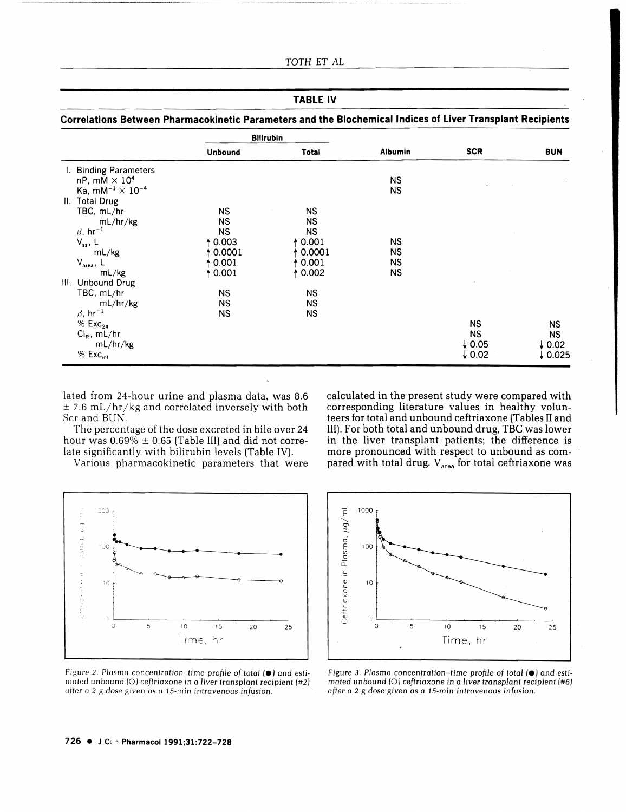## TABLE IV

**Correlations Between Pharmacokinetic Parameters and the Biochemical Indices of liver Transplant Recipients** 

|                                 |                | <b>Bilirubin</b> |                |                   |                   |
|---------------------------------|----------------|------------------|----------------|-------------------|-------------------|
|                                 | <b>Unbound</b> | Total            | <b>Albumin</b> | <b>SCR</b>        | <b>BUN</b>        |
| I. Binding Parameters           |                |                  |                |                   |                   |
| nP, mM $\times$ 10 <sup>4</sup> |                |                  | <b>NS</b>      |                   |                   |
| Ka, $mM^{-1} \times 10^{-4}$    |                |                  | NS             |                   |                   |
| II. Total Drug                  |                |                  |                |                   |                   |
| TBC, mL/hr                      | ΝS             | <b>NS</b>        |                |                   |                   |
| mL/hr/kg                        | <b>NS</b>      | <b>NS</b>        |                |                   |                   |
| $\beta$ , hr <sup>-1</sup>      | <b>NS</b>      | <b>NS</b>        |                |                   |                   |
| $V_{ss}$ , L                    | † 0.003        | 0.001            | ΝS             |                   |                   |
| mL/kg                           | 0.0001         | 0.0001           | <b>NS</b>      |                   |                   |
| $V_{area}$ , L                  | 0.001          | 0.001            | ΝS             |                   |                   |
| mL/kg                           | 10.001         | 0.002            | NS.            |                   |                   |
| III. Unbound Drug               |                |                  |                |                   |                   |
| TBC, mL/hr                      | <b>NS</b>      | <b>NS</b>        |                |                   |                   |
| mL/hr/kg                        | <b>NS</b>      | <b>NS</b>        |                |                   |                   |
| $\beta$ , hr <sup>-1</sup>      | <b>NS</b>      | <b>NS</b>        |                |                   |                   |
| $%$ Exc <sub>24</sub>           |                |                  |                | <b>NS</b>         | <b>NS</b>         |
| $Cl_R$ , mL/hr                  |                |                  |                | <b>NS</b>         | NS.               |
| mL/hr/kg                        |                |                  |                | $\downarrow$ 0.05 | $\downarrow$ 0.02 |
| $%$ Exc $_{int}$                |                |                  |                | $\downarrow$ 0.02 | 0.025             |

lated from 24-hour urine and plasma data. was 8.6  $\pm$  7.6 mL/hr/kg and correlated inversely with both Scr and BUN.

The percentage of the dose excreted in bile over 24 hour was  $0.69\% \pm 0.65$  (Table III) and did not correlate significantly with bilirubin levels (Table IV).

Various pharmacokinetic parameters that were



Figure 2. Plasma concentration-time profile of total ( $\bullet$ ) and estimated unbound (0) ceJtriaxone in a *liver transplant* recipient (#2) ufter *a* 2 g dose given as a 15-min intravenous infusion.

calculated in the present study were compared with corresponding literature values in healthy volunteers for total and unbound ceftriaxone (Tables II and III). For both total and unbound drug, TBC was lower in the liver transplant patients; the difference is more pronounced with respect to unbound as compared with total drug.  $V_{area}$  for total ceftriaxone was



Figure 3. Plasma concentration-time profile of total ( $\bullet$ ) and esti*mated* unbound (0) ceftriaxone in a *liver transplant* recipient (#6) *after* a 2 g *dose given* as a I5-min intravenous infusion.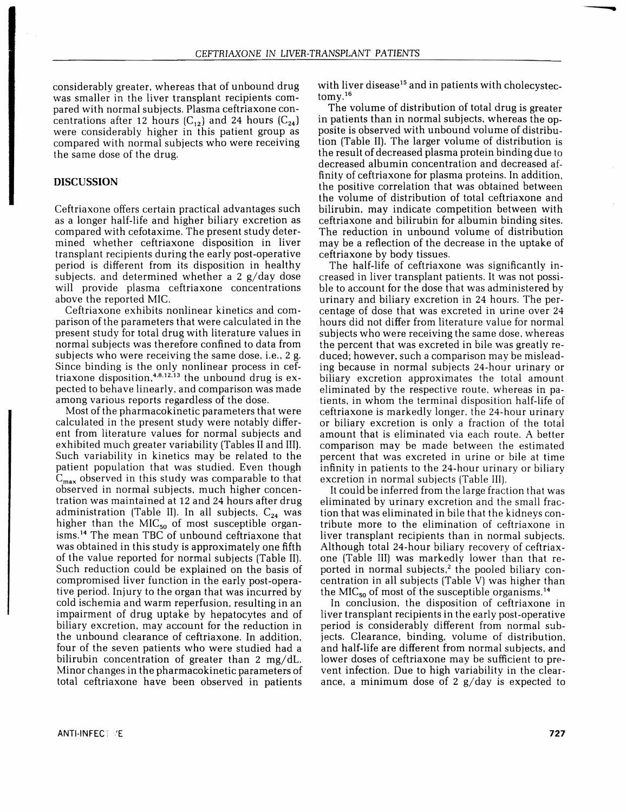considerably greater. whereas that of unbound drug was smaller in the liver transplant recipients compared with normal subjects. Plasma ceftriaxone concentrations after 12 hours  $(C_{12})$  and 24 hours  $(C_{24})$ were considerably higher in this patient group as compared with normal subjects who were receiving the same dose of the drug.

## DISCUSSION

Ceftriaxone offers certain practical advantages such as a longer half-life and higher biliary excretion as compared with cefotaxime. The present study determined whether ceftriaxone disposition in liver transplant recipients during the early post-operative period is different from its disposition in healthy subjects. and determined whether a 2 g/day dose will provide plasma ceftriaxone concentrations above the reported MIC.

Ceftriaxone exhibits nonlinear kinetics and comparison of the parameters that were calculated in the present study for total drug with literature values in normal subjects was therefore confined to data from subjects who were receiving the same dose, i.e., 2 g. Since binding is the only nonlinear process in ceftriaxone disposition,<sup>4.8.12.13</sup> the unbound drug is expected to behave linearly. and comparison was made among various reports regardless of the dose.

Most of the pharmacokinetic parameters that were calculated in the present study were notably different from literature values for normal subjects and exhibited much greater variability (Tables II and III). Such variability in kinetics may be related to the patient population that was studied. Even though  $C_{\text{max}}$  observed in this study was comparable to that observed in normal subjects. much higher concentration was maintained at 12 and 24 hours after drug administration (Table II). In all subjects,  $C_{24}$  was higher than the MIC $_{50}$  of most susceptible organisms. 14 The mean TBC of unbound ceftriaxone that was obtained in this study is approximately one fifth of the value reported for normal subjects (Table II). Such reduction could be explained on the basis of compromised liver function in the early post-operative period. Injury to the organ that was incurred by cold ischemia and warm reperfusion. resulting in an impairment of drug uptake by hepatocytes and of biliary excretion. may account for the reduction in the unbound clearance of ceftriaxone. In addition. four of the seven patients who were studied had a bilirubin concentration of greater than 2 mg/dL. Minor changes in the pharmacokinetic parameters of total ceftriaxone have been observed in patients with liver disease<sup>15</sup> and in patients with cholecystectomy.16

The volume of distribution of total drug is greater in patients than in normal subjects. whereas the opposite is observed with unbound volume of distribution (Table II). The larger volume of distribution is the result of decreased plasma protein binding due to decreased albumin concentration and decreased affinity of ceftriaxone for plasma proteins. In addition. the positive correlation that was obtained between the volume of distribution of total ceftriaxone and bilirubin. may indicate competition between with ceftriaxone and bilirubin for albumin binding sites. The reduction in unbound volume of distribution may be a reflection of the decrease in the uptake of ceftriaxone by body tissues.

The half-life of ceftriaxone was significantly increased in liver transplant patients. It was not possible to account for the dose that was administered by urinary and biliary excretion in 24 hours. The percentage of dose that was excreted in urine over 24 hours did not differ from literature value for normal subjects who were receiving the same dose. whereas the percent that was excreted in bile was greatly reduced; however. such a comparison may be misleading because in normal subjects 24-hour urinary or biliary excretion approximates the total amount eliminated by the respective route. whereas in patients. in whom the terminal disposition half-life of ceftriaxone is markedly longer. the 24-hour urinary or biliary excretion is only a fraction of the total amount that is eliminated via each route. A better comparison may be made between the estimated percent that was excreted in urine or bile at time infinity in patients to the 24-hour urinary or biliary excretion in normal subjects (Table III).

It could be inferred from the large fraction that was eliminated by urinary excretion and the small fraction that was eliminated in bile that the kidneys contribute more to the elimination of ceftriaxone in liver transplant recipients than in normal subjects. Although total 24-hour biliary recovery of ceftriaxone (Table III) was markedly lower than that reported in normal subjects,<sup>2</sup> the pooled biliary concentration in all subjects (Table V) was higher than the MIC<sub>50</sub> of most of the susceptible organisms.<sup>14</sup>

In conclusion. the disposition of ceftriaxone in liver transplant recipients in the early post-operative period is considerably different from normal subjects. Clearance. binding. volume of distribution. and half-life are different from normal subjects. and lower doses of ceftriaxone may be sufficient to prevent infection. Due to high variability in the clearance, a minimum dose of 2  $g/day$  is expected to